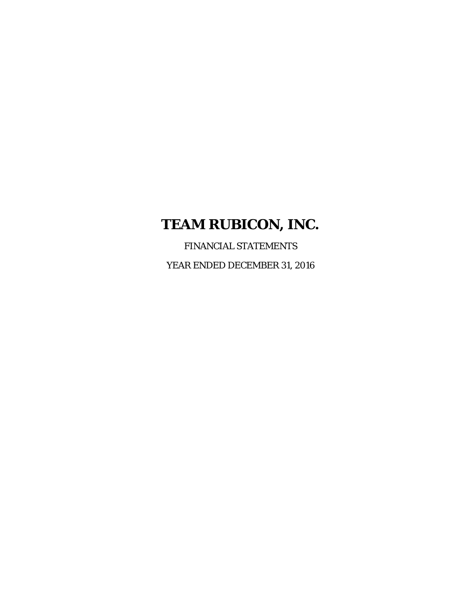FINANCIAL STATEMENTS YEAR ENDED DECEMBER 31, 2016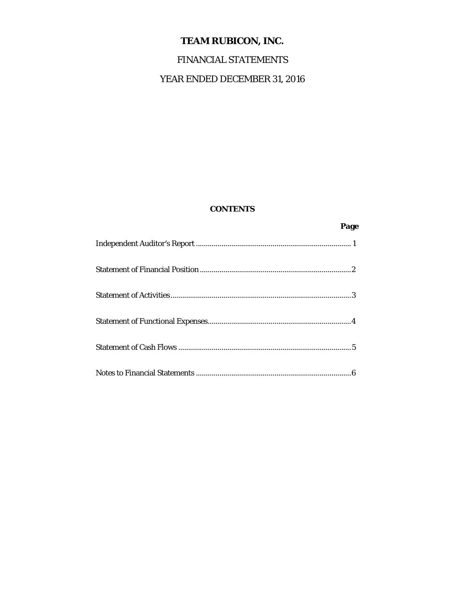# FINANCIAL STATEMENTS

# YEAR ENDED DECEMBER 31, 2016

# **CONTENTS**

*Page* Page 2014 **Page**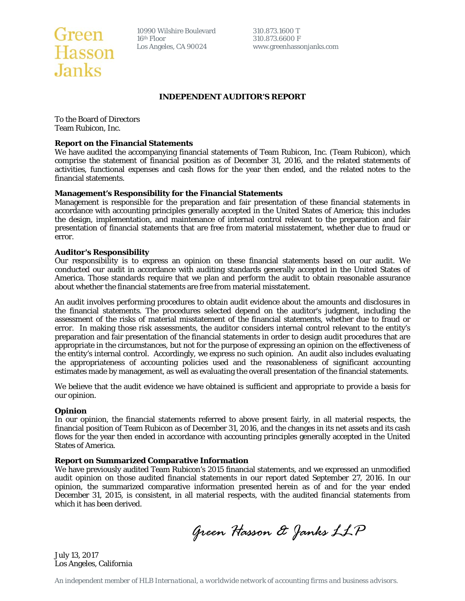# **Janks**

**16th Floor** 310.873.6600 F

 $10990 \text{ Wilson} \begin{array}{l l} 10990 \text{ Wilson} & 310.873.1600 \text{ T} \\ 16^{\text{th}} \text{ Floor} & 310.873.6600 \text{ F} \\ \text{Los Angeles, CA } 90024 & \text{www.greenhassonjanks.com} \end{array}$ Los Angeles, CA 90024 www.greenhassonjanks.com

### **INDEPENDENT AUDITOR'S REPORT**

To the Board of Directors Team Rubicon, Inc.

### **Report on the Financial Statements**

We have audited the accompanying financial statements of Team Rubicon, Inc. (Team Rubicon), which comprise the statement of financial position as of December 31, 2016, and the related statements of activities, functional expenses and cash flows for the year then ended, and the related notes to the financial statements.

### **Management's Responsibility for the Financial Statements**

Management is responsible for the preparation and fair presentation of these financial statements in accordance with accounting principles generally accepted in the United States of America; this includes the design, implementation, and maintenance of internal control relevant to the preparation and fair presentation of financial statements that are free from material misstatement, whether due to fraud or error.

### **Auditor's Responsibility**

Our responsibility is to express an opinion on these financial statements based on our audit. We conducted our audit in accordance with auditing standards generally accepted in the United States of America. Those standards require that we plan and perform the audit to obtain reasonable assurance about whether the financial statements are free from material misstatement.

An audit involves performing procedures to obtain audit evidence about the amounts and disclosures in the financial statements. The procedures selected depend on the auditor's judgment, including the assessment of the risks of material misstatement of the financial statements, whether due to fraud or error. In making those risk assessments, the auditor considers internal control relevant to the entity's preparation and fair presentation of the financial statements in order to design audit procedures that are appropriate in the circumstances, but not for the purpose of expressing an opinion on the effectiveness of the entity's internal control. Accordingly, we express no such opinion. An audit also includes evaluating the appropriateness of accounting policies used and the reasonableness of significant accounting estimates made by management, as well as evaluating the overall presentation of the financial statements.

We believe that the audit evidence we have obtained is sufficient and appropriate to provide a basis for our opinion.

### **Opinion**

In our opinion, the financial statements referred to above present fairly, in all material respects, the financial position of Team Rubicon as of December 31, 2016, and the changes in its net assets and its cash flows for the year then ended in accordance with accounting principles generally accepted in the United States of America.

### **Report on Summarized Comparative Information**

We have previously audited Team Rubicon's 2015 financial statements, and we expressed an unmodified audit opinion on those audited financial statements in our report dated September 27, 2016. In our opinion, the summarized comparative information presented herein as of and for the year ended December 31, 2015, is consistent, in all material respects, with the audited financial statements from which it has been derived.

*Green Hasson & Janks LLP* 

July 13, 2017 Los Angeles, California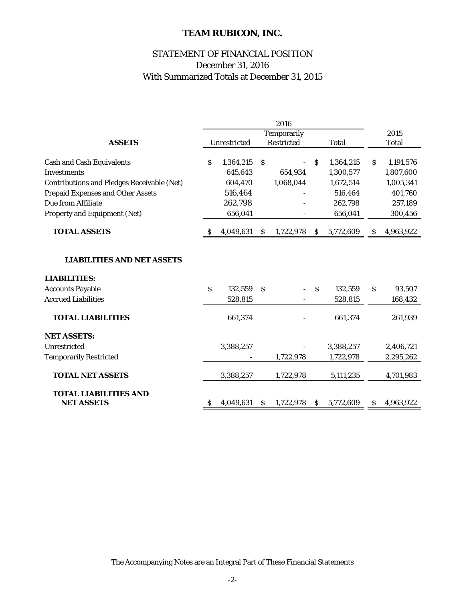# STATEMENT OF FINANCIAL POSITION With Summarized Totals at December 31, 2015 December 31, 2016

|                                                   | 2016        |              |               |                   |              |              |              |              |
|---------------------------------------------------|-------------|--------------|---------------|-------------------|--------------|--------------|--------------|--------------|
|                                                   | Temporarily |              |               |                   |              |              | 2015         |              |
| <b>ASSETS</b>                                     |             | Unrestricted |               | <b>Restricted</b> |              | <b>Total</b> |              | <b>Total</b> |
| <b>Cash and Cash Equivalents</b>                  | S           | 1,364,215    | $\mathcal{S}$ |                   | <sub>S</sub> | 1,364,215    | S.           | 1,191,576    |
| <b>Investments</b>                                |             | 645,643      |               | 654,934           |              | 1,300,577    |              | 1,807,600    |
| <b>Contributions and Pledges Receivable (Net)</b> |             | 604,470      |               | 1,068,044         |              | 1,672,514    |              | 1,005,341    |
| <b>Prepaid Expenses and Other Assets</b>          |             | 516,464      |               |                   |              | 516,464      |              | 401,760      |
| Due from Affiliate                                |             | 262,798      |               |                   |              | 262,798      |              | 257,189      |
| Property and Equipment (Net)                      |             | 656,041      |               |                   |              | 656,041      |              | 300,456      |
|                                                   |             |              |               |                   |              |              |              |              |
| <b>TOTAL ASSETS</b>                               | S           | 4,049,631    | <sub>S</sub>  | 1,722,978         | S.           | 5,772,609    | <sub>S</sub> | 4,963,922    |
|                                                   |             |              |               |                   |              |              |              |              |
| <b>LIABILITIES AND NET ASSETS</b>                 |             |              |               |                   |              |              |              |              |
| <b>LIABILITIES:</b>                               |             |              |               |                   |              |              |              |              |
| <b>Accounts Payable</b>                           | Ŝ           | 132,559      | S             |                   | S            | 132,559      | S            | 93,507       |
| <b>Accrued Liabilities</b>                        |             | 528,815      |               |                   |              | 528,815      |              | 168,432      |
| <b>TOTAL LIABILITIES</b>                          |             | 661,374      |               |                   |              | 661,374      |              | 261,939      |
| <b>NET ASSETS:</b>                                |             |              |               |                   |              |              |              |              |
| Unrestricted                                      |             | 3,388,257    |               |                   |              | 3,388,257    |              | 2,406,721    |
| <b>Temporarily Restricted</b>                     |             |              |               | 1,722,978         |              | 1,722,978    |              | 2,295,262    |
| <b>TOTAL NET ASSETS</b>                           |             | 3,388,257    |               | 1,722,978         |              | 5,111,235    |              | 4,701,983    |
| <b>TOTAL LIABILITIES AND</b><br><b>NET ASSETS</b> |             | 4,049,631    | <sub>S</sub>  | 1,722,978         | S.           | 5,772,609    | S            | 4,963,922    |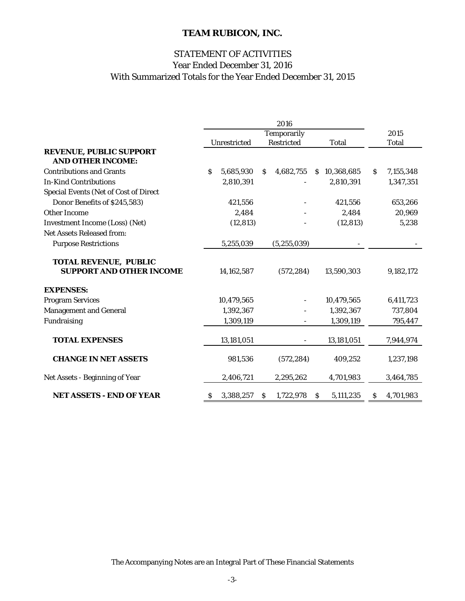# With Summarized Totals for the Year Ended December 31, 2015 STATEMENT OF ACTIVITIES Year Ended December 31, 2016

|                                                                 | 2016 |              |    |               |    |              |    |              |
|-----------------------------------------------------------------|------|--------------|----|---------------|----|--------------|----|--------------|
|                                                                 |      |              |    | Temporarily   |    |              |    | 2015         |
|                                                                 |      | Unrestricted |    | Restricted    |    | <b>Total</b> |    | <b>Total</b> |
| <b>REVENUE, PUBLIC SUPPORT</b><br><b>AND OTHER INCOME:</b>      |      |              |    |               |    |              |    |              |
| <b>Contributions and Grants</b>                                 | S.   | 5,685,930    | S. | 4,682,755     |    | \$10,368,685 | S. | 7,155,348    |
| <b>In-Kind Contributions</b>                                    |      | 2,810,391    |    |               |    | 2,810,391    |    | 1,347,351    |
| <b>Special Events (Net of Cost of Direct</b>                    |      |              |    |               |    |              |    |              |
| Donor Benefits of \$245,583)                                    |      | 421,556      |    |               |    | 421,556      |    | 653,266      |
| <b>Other Income</b>                                             |      | 2,484        |    |               |    | 2,484        |    | 20,969       |
| <b>Investment Income (Loss) (Net)</b>                           |      | (12, 813)    |    |               |    | (12, 813)    |    | 5,238        |
| <b>Net Assets Released from:</b>                                |      |              |    |               |    |              |    |              |
| <b>Purpose Restrictions</b>                                     |      | 5,255,039    |    | (5, 255, 039) |    |              |    |              |
| <b>TOTAL REVENUE, PUBLIC</b><br><b>SUPPORT AND OTHER INCOME</b> |      | 14,162,587   |    | (572, 284)    |    | 13,590,303   |    | 9,182,172    |
| <b>EXPENSES:</b>                                                |      |              |    |               |    |              |    |              |
| <b>Program Services</b>                                         |      | 10,479,565   |    |               |    | 10,479,565   |    | 6,411,723    |
| <b>Management and General</b>                                   |      | 1,392,367    |    |               |    | 1,392,367    |    | 737,804      |
| Fundraising                                                     |      | 1,309,119    |    |               |    | 1,309,119    |    | 795,447      |
| <b>TOTAL EXPENSES</b>                                           |      | 13,181,051   |    |               |    | 13,181,051   |    | 7,944,974    |
| <b>CHANGE IN NET ASSETS</b>                                     |      | 981,536      |    | (572, 284)    |    | 409,252      |    | 1,237,198    |
| Net Assets - Beginning of Year                                  |      | 2,406,721    |    | 2,295,262     |    | 4,701,983    |    | 3,464,785    |
| <b>NET ASSETS - END OF YEAR</b>                                 | S.   | 3,388,257    | S. | 1,722,978     | \$ | 5,111,235    | S. | 4,701,983    |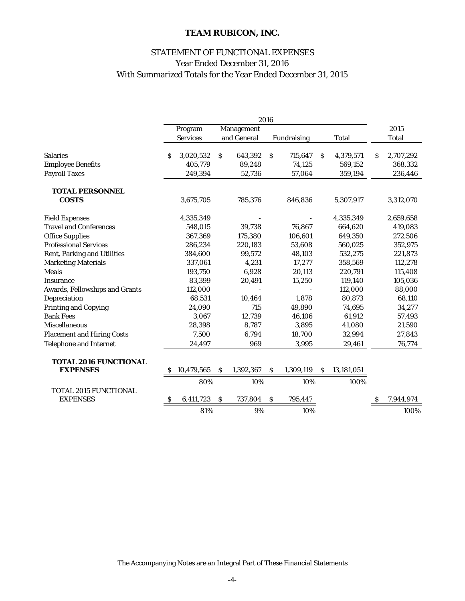# STATEMENT OF FUNCTIONAL EXPENSES Year Ended December 31, 2016 With Summarized Totals for the Year Ended December 31, 2015

|                                    | 2016    |                 |            |             |              |                    |   |              |      |           |
|------------------------------------|---------|-----------------|------------|-------------|--------------|--------------------|---|--------------|------|-----------|
|                                    | Program |                 | Management |             |              |                    |   |              | 2015 |           |
|                                    |         | <b>Services</b> |            | and General |              | <b>Fundraising</b> |   | <b>Total</b> |      | Total     |
| <b>Salaries</b>                    | S       | 3,020,532       | S.         | 643,392     | S            | 715,647            | S | 4,379,571    | S    | 2,707,292 |
| <b>Employee Benefits</b>           |         | 405,779         |            | 89,248      |              | 74,125             |   | 569,152      |      | 368,332   |
| <b>Payroll Taxes</b>               |         | 249,394         |            | 52,736      |              | 57,064             |   | 359,194      |      | 236,446   |
| <b>TOTAL PERSONNEL</b>             |         |                 |            |             |              |                    |   |              |      |           |
| <b>COSTS</b>                       |         | 3,675,705       |            | 785,376     |              | 846,836            |   | 5,307,917    |      | 3,312,070 |
| <b>Field Expenses</b>              |         | 4,335,349       |            |             |              |                    |   | 4,335,349    |      | 2,659,658 |
| <b>Travel and Conferences</b>      |         | 548,015         |            | 39.738      |              | 76,867             |   | 664,620      |      | 419,083   |
| <b>Office Supplies</b>             |         | 367,369         |            | 175,380     |              | 106,601            |   | 649,350      |      | 272,506   |
| <b>Professional Services</b>       |         | 286,234         |            | 220,183     |              | 53,608             |   | 560,025      |      | 352,975   |
| <b>Rent, Parking and Utilities</b> |         | 384,600         |            | 99,572      |              | 48,103             |   | 532,275      |      | 221,873   |
| <b>Marketing Materials</b>         |         | 337,061         |            | 4,231       |              | 17,277             |   | 358,569      |      | 112,278   |
| <b>Meals</b>                       |         | 193,750         |            | 6,928       |              | 20,113             |   | 220,791      |      | 115,408   |
| <b>Insurance</b>                   |         | 83,399          |            | 20,491      |              | 15,250             |   | 119,140      |      | 105,036   |
| Awards, Fellowships and Grants     |         | 112,000         |            |             |              |                    |   | 112,000      |      | 88,000    |
| Depreciation                       |         | 68,531          |            | 10,464      |              | 1,878              |   | 80,873       |      | 68,110    |
| <b>Printing and Copying</b>        |         | 24,090          |            | 715         |              | 49,890             |   | 74,695       |      | 34,277    |
| <b>Bank Fees</b>                   |         | 3,067           |            | 12,739      |              | 46,106             |   | 61,912       |      | 57,493    |
| <b>Miscellaneous</b>               |         | 28,398          |            | 8,787       |              | 3,895              |   | 41,080       |      | 21,590    |
| <b>Placement and Hiring Costs</b>  |         | 7,500           |            | 6,794       |              | 18,700             |   | 32,994       |      | 27,843    |
| <b>Telephone and Internet</b>      |         | 24,497          |            | 969         |              | 3,995              |   | 29,461       |      | 76,774    |
| <b>TOTAL 2016 FUNCTIONAL</b>       |         |                 |            |             |              |                    |   |              |      |           |
| <b>EXPENSES</b>                    | S       | 10,479,565      | S          | 1,392,367   | S.           | 1,309,119          | S | 13,181,051   |      |           |
|                                    |         | 80%             |            | 10%         |              | 10%                |   | 100%         |      |           |
| <b>TOTAL 2015 FUNCTIONAL</b>       |         |                 |            |             |              |                    |   |              |      |           |
| <b>EXPENSES</b>                    | S       | 6,411,723       | S          | 737,804     | <sub>S</sub> | 795,447            |   |              |      | 7,944,974 |
|                                    |         | 81%             |            | 9%          |              | 10%                |   |              |      | 100%      |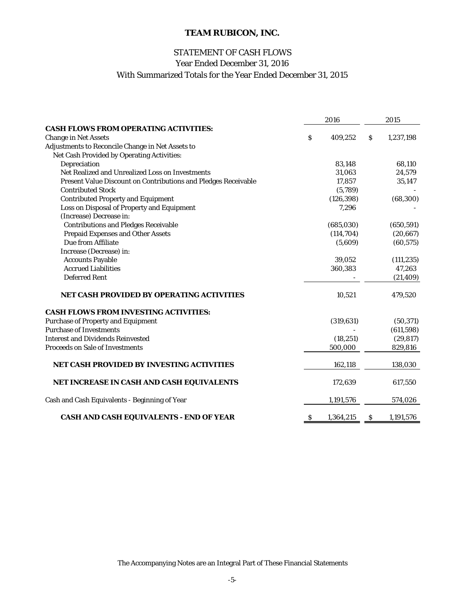# Year Ended December 31, 2016 STATEMENT OF CASH FLOWS

# With Summarized Totals for the Year Ended December 31, 2015

|                                                                |    | 2016       | 2015 |            |  |
|----------------------------------------------------------------|----|------------|------|------------|--|
| <b>CASH FLOWS FROM OPERATING ACTIVITIES:</b>                   |    |            |      |            |  |
| <b>Change in Net Assets</b>                                    | Ŝ  | 409,252    | S.   | 1,237,198  |  |
| Adjustments to Reconcile Change in Net Assets to               |    |            |      |            |  |
| Net Cash Provided by Operating Activities:                     |    |            |      |            |  |
| Depreciation                                                   |    | 83,148     |      | 68,110     |  |
| Net Realized and Unrealized Loss on Investments                |    | 31,063     |      | 24,579     |  |
| Present Value Discount on Contributions and Pledges Receivable |    | 17,857     |      | 35,147     |  |
| <b>Contributed Stock</b>                                       |    | (5,789)    |      |            |  |
| <b>Contributed Property and Equipment</b>                      |    | (126, 398) |      | (68, 300)  |  |
| Loss on Disposal of Property and Equipment                     |    | 7,296      |      |            |  |
| (Increase) Decrease in:                                        |    |            |      |            |  |
| <b>Contributions and Pledges Receivable</b>                    |    | (685,030)  |      | (650, 591) |  |
| <b>Prepaid Expenses and Other Assets</b>                       |    | (114, 704) |      | (20, 667)  |  |
| Due from Affiliate                                             |    | (5,609)    |      | (60, 575)  |  |
| Increase (Decrease) in:                                        |    |            |      |            |  |
| <b>Accounts Payable</b>                                        |    | 39,052     |      | (111, 235) |  |
| <b>Accrued Liabilities</b>                                     |    | 360,383    |      | 47,263     |  |
| <b>Deferred Rent</b>                                           |    |            |      | (21, 409)  |  |
| NET CASH PROVIDED BY OPERATING ACTIVITIES                      |    | 10,521     |      | 479,520    |  |
| <b>CASH FLOWS FROM INVESTING ACTIVITIES:</b>                   |    |            |      |            |  |
| <b>Purchase of Property and Equipment</b>                      |    | (319, 631) |      | (50, 371)  |  |
| <b>Purchase of Investments</b>                                 |    |            |      | (611, 598) |  |
| <b>Interest and Dividends Reinvested</b>                       |    | (18, 251)  |      | (29, 817)  |  |
| <b>Proceeds on Sale of Investments</b>                         |    | 500,000    |      | 829,816    |  |
| <b>NET CASH PROVIDED BY INVESTING ACTIVITIES</b>               |    | 162,118    |      | 138,030    |  |
| NET INCREASE IN CASH AND CASH EQUIVALENTS                      |    | 172,639    |      | 617,550    |  |
| Cash and Cash Equivalents - Beginning of Year                  |    | 1,191,576  |      | 574,026    |  |
| CASH AND CASH EQUIVALENTS - END OF YEAR                        | \$ | 1,364,215  | \$.  | 1,191,576  |  |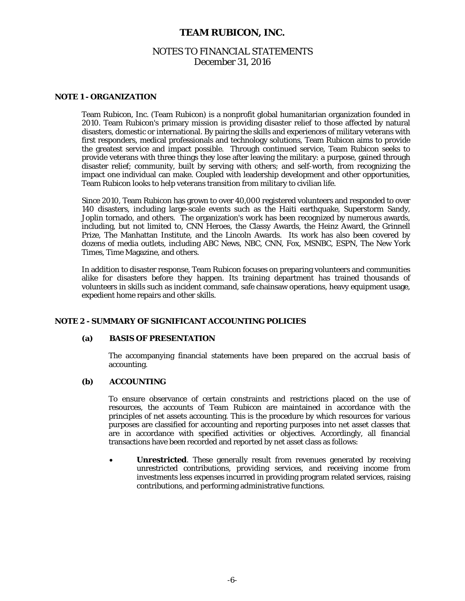# NOTES TO FINANCIAL STATEMENTS December 31, 2016

### **NOTE 1 - ORGANIZATION**

Team Rubicon, Inc. (Team Rubicon) is a nonprofit global humanitarian organization founded in 2010. Team Rubicon's primary mission is providing disaster relief to those affected by natural disasters, domestic or international. By pairing the skills and experiences of military veterans with first responders, medical professionals and technology solutions, Team Rubicon aims to provide the greatest service and impact possible. Through continued service, Team Rubicon seeks to provide veterans with three things they lose after leaving the military: a purpose, gained through disaster relief; community, built by serving with others; and self-worth, from recognizing the impact one individual can make. Coupled with leadership development and other opportunities, Team Rubicon looks to help veterans transition from military to civilian life.

Since 2010, Team Rubicon has grown to over 40,000 registered volunteers and responded to over 140 disasters, including large-scale events such as the Haiti earthquake, Superstorm Sandy, Joplin tornado, and others. The organization's work has been recognized by numerous awards, including, but not limited to, CNN Heroes, the Classy Awards, the Heinz Award, the Grinnell Prize, The Manhattan Institute, and the Lincoln Awards. Its work has also been covered by dozens of media outlets, including ABC News, NBC, CNN, Fox, MSNBC, ESPN, The New York Times, Time Magazine, and others.

In addition to disaster response, Team Rubicon focuses on preparing volunteers and communities alike for disasters before they happen. Its training department has trained thousands of volunteers in skills such as incident command, safe chainsaw operations, heavy equipment usage, expedient home repairs and other skills.

### **NOTE 2 - SUMMARY OF SIGNIFICANT ACCOUNTING POLICIES**

### **(a) BASIS OF PRESENTATION**

 The accompanying financial statements have been prepared on the accrual basis of accounting.

### **(b) ACCOUNTING**

 To ensure observance of certain constraints and restrictions placed on the use of resources, the accounts of Team Rubicon are maintained in accordance with the principles of net assets accounting. This is the procedure by which resources for various purposes are classified for accounting and reporting purposes into net asset classes that are in accordance with specified activities or objectives. Accordingly, all financial transactions have been recorded and reported by net asset class as follows:

 **Unrestricted**. These generally result from revenues generated by receiving unrestricted contributions, providing services, and receiving income from investments less expenses incurred in providing program related services, raising contributions, and performing administrative functions.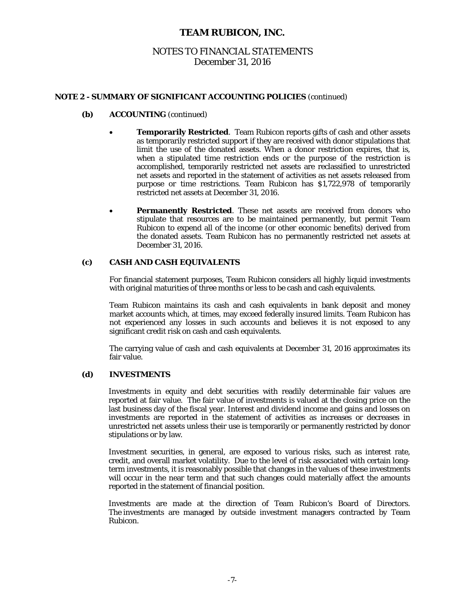# NOTES TO FINANCIAL STATEMENTS December 31, 2016

### **NOTE 2 - SUMMARY OF SIGNIFICANT ACCOUNTING POLICIES** (continued)

- **(b) ACCOUNTING** (continued)
	- **Temporarily Restricted**. Team Rubicon reports gifts of cash and other assets as temporarily restricted support if they are received with donor stipulations that limit the use of the donated assets. When a donor restriction expires, that is, when a stipulated time restriction ends or the purpose of the restriction is accomplished, temporarily restricted net assets are reclassified to unrestricted net assets and reported in the statement of activities as net assets released from purpose or time restrictions. Team Rubicon has \$1,722,978 of temporarily restricted net assets at December 31, 2016.
	- **Permanently Restricted**. These net assets are received from donors who stipulate that resources are to be maintained permanently, but permit Team Rubicon to expend all of the income (or other economic benefits) derived from the donated assets. Team Rubicon has no permanently restricted net assets at December 31, 2016.

### **(c) CASH AND CASH EQUIVALENTS**

For financial statement purposes, Team Rubicon considers all highly liquid investments with original maturities of three months or less to be cash and cash equivalents.

Team Rubicon maintains its cash and cash equivalents in bank deposit and money market accounts which, at times, may exceed federally insured limits. Team Rubicon has not experienced any losses in such accounts and believes it is not exposed to any significant credit risk on cash and cash equivalents.

The carrying value of cash and cash equivalents at December 31, 2016 approximates its fair value.

### **(d) INVESTMENTS**

 Investments in equity and debt securities with readily determinable fair values are reported at fair value. The fair value of investments is valued at the closing price on the last business day of the fiscal year. Interest and dividend income and gains and losses on investments are reported in the statement of activities as increases or decreases in unrestricted net assets unless their use is temporarily or permanently restricted by donor stipulations or by law.

Investment securities, in general, are exposed to various risks, such as interest rate, credit, and overall market volatility. Due to the level of risk associated with certain longterm investments, it is reasonably possible that changes in the values of these investments will occur in the near term and that such changes could materially affect the amounts reported in the statement of financial position.

Investments are made at the direction of Team Rubicon's Board of Directors. The investments are managed by outside investment managers contracted by Team Rubicon.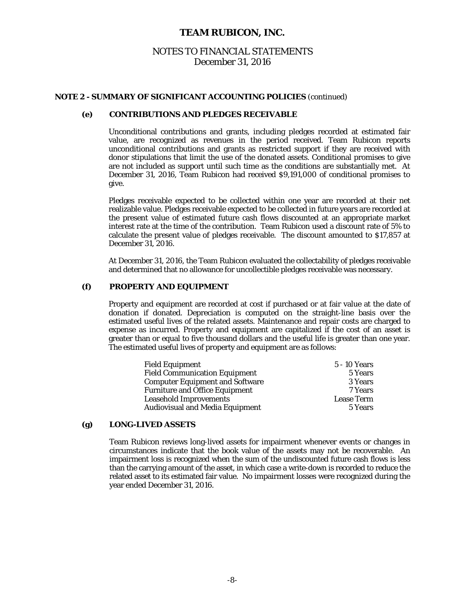# NOTES TO FINANCIAL STATEMENTS December 31, 2016

### **NOTE 2 - SUMMARY OF SIGNIFICANT ACCOUNTING POLICIES** (continued)

### **(e) CONTRIBUTIONS AND PLEDGES RECEIVABLE**

 Unconditional contributions and grants, including pledges recorded at estimated fair value, are recognized as revenues in the period received. Team Rubicon reports unconditional contributions and grants as restricted support if they are received with donor stipulations that limit the use of the donated assets. Conditional promises to give are not included as support until such time as the conditions are substantially met. At December 31, 2016, Team Rubicon had received \$9,191,000 of conditional promises to give.

Pledges receivable expected to be collected within one year are recorded at their net realizable value. Pledges receivable expected to be collected in future years are recorded at the present value of estimated future cash flows discounted at an appropriate market interest rate at the time of the contribution. Team Rubicon used a discount rate of 5% to calculate the present value of pledges receivable. The discount amounted to \$17,857 at December 31, 2016.

At December 31, 2016, the Team Rubicon evaluated the collectability of pledges receivable and determined that no allowance for uncollectible pledges receivable was necessary.

### **(f) PROPERTY AND EQUIPMENT**

 Property and equipment are recorded at cost if purchased or at fair value at the date of donation if donated. Depreciation is computed on the straight-line basis over the estimated useful lives of the related assets. Maintenance and repair costs are charged to expense as incurred. Property and equipment are capitalized if the cost of an asset is greater than or equal to five thousand dollars and the useful life is greater than one year. The estimated useful lives of property and equipment are as follows:

| <b>Field Equipment</b>                 | 5 - 10 Years      |
|----------------------------------------|-------------------|
| <b>Field Communication Equipment</b>   | 5 Years           |
| <b>Computer Equipment and Software</b> | 3 Years           |
| <b>Furniture and Office Equipment</b>  | 7 Years           |
| <b>Leasehold Improvements</b>          | <b>Lease Term</b> |
| <b>Audiovisual and Media Equipment</b> | 5 Years           |

### **(g) LONG-LIVED ASSETS**

Team Rubicon reviews long-lived assets for impairment whenever events or changes in circumstances indicate that the book value of the assets may not be recoverable. An impairment loss is recognized when the sum of the undiscounted future cash flows is less than the carrying amount of the asset, in which case a write-down is recorded to reduce the related asset to its estimated fair value. No impairment losses were recognized during the year ended December 31, 2016.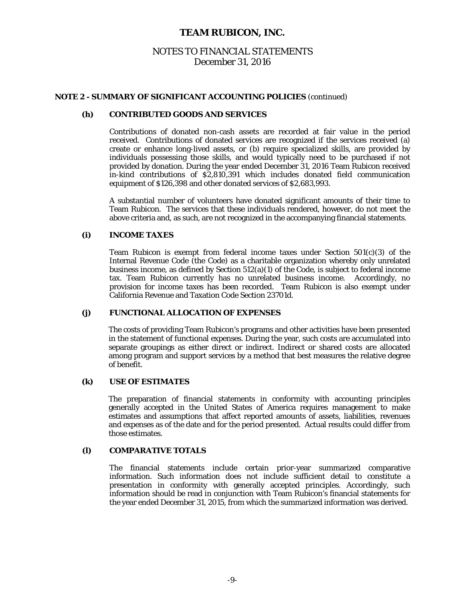# NOTES TO FINANCIAL STATEMENTS December 31, 2016

### **NOTE 2 - SUMMARY OF SIGNIFICANT ACCOUNTING POLICIES** (continued)

### **(h) CONTRIBUTED GOODS AND SERVICES**

 Contributions of donated non-cash assets are recorded at fair value in the period received. Contributions of donated services are recognized if the services received (a) create or enhance long-lived assets, or (b) require specialized skills, are provided by individuals possessing those skills, and would typically need to be purchased if not provided by donation. During the year ended December 31, 2016 Team Rubicon received in-kind contributions of \$2,810,391 which includes donated field communication equipment of \$126,398 and other donated services of \$2,683,993.

A substantial number of volunteers have donated significant amounts of their time to Team Rubicon. The services that these individuals rendered, however, do not meet the above criteria and, as such, are not recognized in the accompanying financial statements.

### **(i) INCOME TAXES**

Team Rubicon is exempt from federal income taxes under Section  $501(c)(3)$  of the Internal Revenue Code (the Code) as a charitable organization whereby only unrelated business income, as defined by Section 512(a)(1) of the Code, is subject to federal income tax. Team Rubicon currently has no unrelated business income. Accordingly, no provision for income taxes has been recorded. Team Rubicon is also exempt under California Revenue and Taxation Code Section 23701d.

### **(j) FUNCTIONAL ALLOCATION OF EXPENSES**

 The costs of providing Team Rubicon's programs and other activities have been presented in the statement of functional expenses. During the year, such costs are accumulated into separate groupings as either direct or indirect. Indirect or shared costs are allocated among program and support services by a method that best measures the relative degree of benefit.

### **(k) USE OF ESTIMATES**

 The preparation of financial statements in conformity with accounting principles generally accepted in the United States of America requires management to make estimates and assumptions that affect reported amounts of assets, liabilities, revenues and expenses as of the date and for the period presented. Actual results could differ from those estimates.

### **(l) COMPARATIVE TOTALS**

The financial statements include certain prior-year summarized comparative information. Such information does not include sufficient detail to constitute a presentation in conformity with generally accepted principles. Accordingly, such information should be read in conjunction with Team Rubicon's financial statements for the year ended December 31, 2015, from which the summarized information was derived.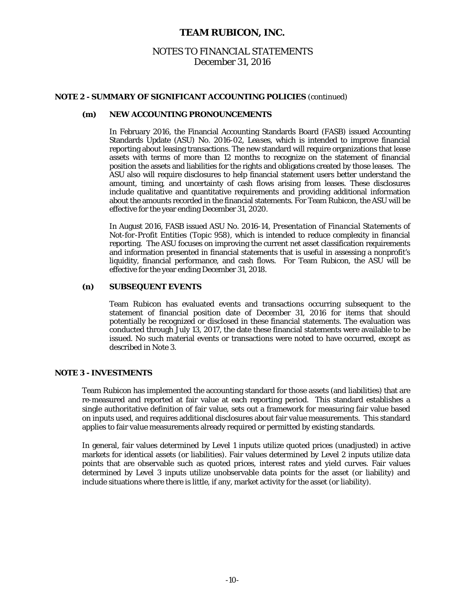# NOTES TO FINANCIAL STATEMENTS December 31, 2016

### **NOTE 2 - SUMMARY OF SIGNIFICANT ACCOUNTING POLICIES** (continued)

### **(m) NEW ACCOUNTING PRONOUNCEMENTS**

In February 2016, the Financial Accounting Standards Board (FASB) issued Accounting Standards Update (ASU) No. 2016-02, *Leases*, which is intended to improve financial reporting about leasing transactions. The new standard will require organizations that lease assets with terms of more than 12 months to recognize on the statement of financial position the assets and liabilities for the rights and obligations created by those leases. The ASU also will require disclosures to help financial statement users better understand the amount, timing, and uncertainty of cash flows arising from leases. These disclosures include qualitative and quantitative requirements and providing additional information about the amounts recorded in the financial statements. For Team Rubicon, the ASU will be effective for the year ending December 31, 2020.

In August 2016, FASB issued ASU No. 2016-14, *Presentation of Financial Statements of Not-for-Profit Entities (Topic 958)*, which is intended to reduce complexity in financial reporting. The ASU focuses on improving the current net asset classification requirements and information presented in financial statements that is useful in assessing a nonprofit's liquidity, financial performance, and cash flows. For Team Rubicon, the ASU will be effective for the year ending December 31, 2018.

### **(n) SUBSEQUENT EVENTS**

Team Rubicon has evaluated events and transactions occurring subsequent to the statement of financial position date of December 31, 2016 for items that should potentially be recognized or disclosed in these financial statements. The evaluation was conducted through July 13, 2017, the date these financial statements were available to be issued. No such material events or transactions were noted to have occurred, except as described in Note 3.

### **NOTE 3 - INVESTMENTS**

 Team Rubicon has implemented the accounting standard for those assets (and liabilities) that are re-measured and reported at fair value at each reporting period. This standard establishes a single authoritative definition of fair value, sets out a framework for measuring fair value based on inputs used, and requires additional disclosures about fair value measurements. This standard applies to fair value measurements already required or permitted by existing standards.

 In general, fair values determined by Level 1 inputs utilize quoted prices (unadjusted) in active markets for identical assets (or liabilities). Fair values determined by Level 2 inputs utilize data points that are observable such as quoted prices, interest rates and yield curves. Fair values determined by Level 3 inputs utilize unobservable data points for the asset (or liability) and include situations where there is little, if any, market activity for the asset (or liability).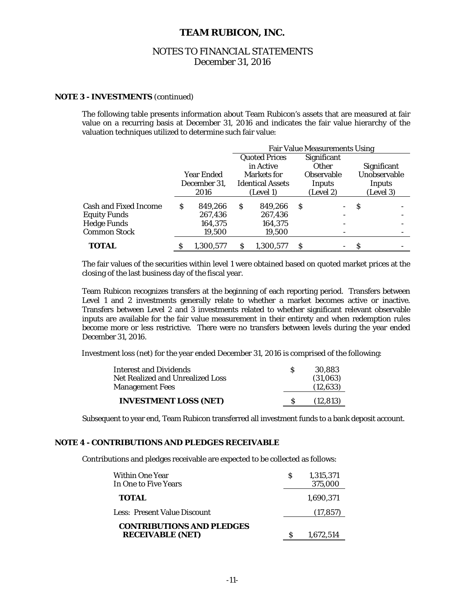# NOTES TO FINANCIAL STATEMENTS December 31, 2016

### **NOTE 3 - INVESTMENTS** (continued)

 The following table presents information about Team Rubicon's assets that are measured at fair value on a recurring basis at December 31, 2016 and indicates the fair value hierarchy of the valuation techniques utilized to determine such fair value:

|                              |                   |              | <b>Fair Value Measurements Using</b> |                         |                   |                    |              |                    |
|------------------------------|-------------------|--------------|--------------------------------------|-------------------------|-------------------|--------------------|--------------|--------------------|
|                              |                   |              |                                      | <b>Quoted Prices</b>    |                   | <b>Significant</b> |              |                    |
|                              |                   |              |                                      | in Active               |                   | <b>Other</b>       |              | <b>Significant</b> |
|                              | <b>Year Ended</b> |              | Markets for                          |                         | <b>Observable</b> |                    | Unobservable |                    |
|                              |                   | December 31, |                                      | <b>Identical Assets</b> | Inputs            |                    | Inputs       |                    |
|                              |                   | 2016         | (Level 1)                            |                         | (Level 2)         |                    | (Level 3)    |                    |
| <b>Cash and Fixed Income</b> | S                 | 849.266      | S                                    | 849.266                 | S                 |                    | S            |                    |
| <b>Equity Funds</b>          |                   | 267,436      |                                      | 267,436                 |                   |                    |              |                    |
| <b>Hedge Funds</b>           |                   | 164,375      |                                      | 164,375                 |                   |                    |              |                    |
| <b>Common Stock</b>          |                   | 19,500       |                                      | 19,500                  |                   |                    |              |                    |
| <b>TOTAL</b>                 |                   | 1,300,577    | S                                    | 1,300,577               | S                 |                    |              |                    |

 The fair values of the securities within level 1 were obtained based on quoted market prices at the closing of the last business day of the fiscal year.

 Team Rubicon recognizes transfers at the beginning of each reporting period. Transfers between Level 1 and 2 investments generally relate to whether a market becomes active or inactive. Transfers between Level 2 and 3 investments related to whether significant relevant observable inputs are available for the fair value measurement in their entirety and when redemption rules become more or less restrictive. There were no transfers between levels during the year ended December 31, 2016.

Investment loss (net) for the year ended December 31, 2016 is comprised of the following:

| Interest and Dividends<br>Net Realized and Unrealized Loss | 30.883<br>(31,063) |
|------------------------------------------------------------|--------------------|
| <b>Management Fees</b>                                     | (12, 633)          |
| <b>INVESTMENT LOSS (NET)</b>                               | (12, 813)          |

Subsequent to year end, Team Rubicon transferred all investment funds to a bank deposit account.

### **NOTE 4 - CONTRIBUTIONS AND PLEDGES RECEIVABLE**

Contributions and pledges receivable are expected to be collected as follows:

| <b>Within One Year</b>           | 1.315.371 |
|----------------------------------|-----------|
| In One to Five Years             | 375,000   |
| <i><b>TOTAL</b></i>              | 1.690.371 |
| Less: Present Value Discount     | (17, 857) |
| <b>CONTRIBUTIONS AND PLEDGES</b> |           |
| <b>RECEIVABLE (NET)</b>          | 1,672,514 |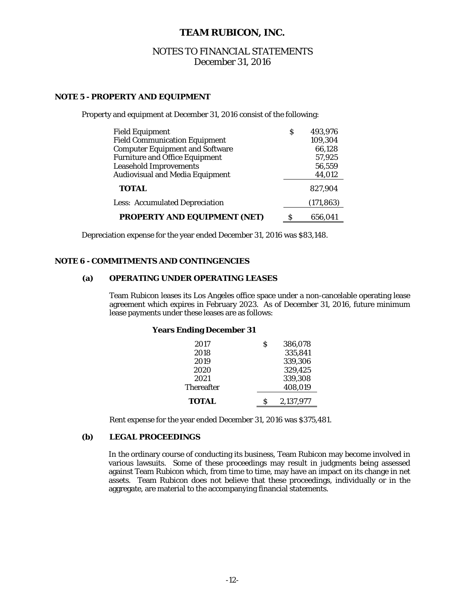# NOTES TO FINANCIAL STATEMENTS December 31, 2016

### **NOTE 5 - PROPERTY AND EQUIPMENT**

Property and equipment at December 31, 2016 consist of the following:

| <b>Field Equipment</b>                 | S | 493,976    |
|----------------------------------------|---|------------|
| <b>Field Communication Equipment</b>   |   | 109,304    |
| <b>Computer Equipment and Software</b> |   | 66,128     |
| <b>Furniture and Office Equipment</b>  |   | 57,925     |
| <b>Leasehold Improvements</b>          |   | 56,559     |
| <b>Audiovisual and Media Equipment</b> |   | 44,012     |
| <b>TOTAL</b>                           |   | 827.904    |
| <b>Less: Accumulated Depreciation</b>  |   | (171, 863) |
| <b>PROPERTY AND EQUIPMENT (NET)</b>    | ς | 656,041    |

Depreciation expense for the year ended December 31, 2016 was \$83,148.

### **NOTE 6 - COMMITMENTS AND CONTINGENCIES**

### **(a) OPERATING UNDER OPERATING LEASES**

Team Rubicon leases its Los Angeles office space under a non-cancelable operating lease agreement which expires in February 2023. As of December 31, 2016, future minimum lease payments under these leases are as follows:

### **Years Ending December 31**

| 2017              | S | 386.078   |
|-------------------|---|-----------|
| 2018              |   | 335,841   |
| 2019              |   | 339,306   |
| 2020              |   | 329,425   |
| 2021              |   | 339,308   |
| <b>Thereafter</b> |   | 408,019   |
| <b>TOTAL</b>      | S | 2,137,977 |

Rent expense for the year ended December 31, 2016 was \$375,481.

### **(b) LEGAL PROCEEDINGS**

 In the ordinary course of conducting its business, Team Rubicon may become involved in various lawsuits. Some of these proceedings may result in judgments being assessed against Team Rubicon which, from time to time, may have an impact on its change in net assets. Team Rubicon does not believe that these proceedings, individually or in the aggregate, are material to the accompanying financial statements.